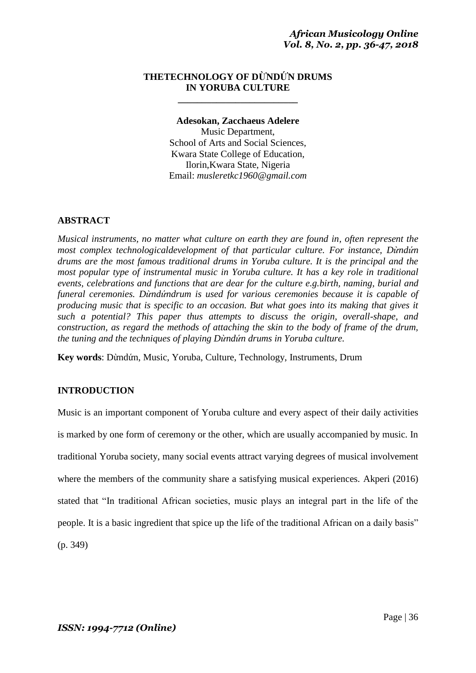# **THETECHNOLOGY OF DỪNDỨN DRUMS IN YORUBA CULTURE**

**\_\_\_\_\_\_\_\_\_\_\_\_\_\_\_\_\_\_\_\_\_\_\_\_\_**

#### **Adesokan, Zacchaeus Adelere**

Music Department, School of Arts and Social Sciences, Kwara State College of Education, Ilorin,Kwara State, Nigeria Email: *musleretkc1960@gmail.com*

## **ABSTRACT**

*Musical instruments, no matter what culture on earth they are found in, often represent the most complex technologicaldevelopment of that particular culture. For instance, Dừndứn drums are the most famous traditional drums in Yoruba culture. It is the principal and the most popular type of instrumental music in Yoruba culture. It has a key role in traditional events, celebrations and functions that are dear for the culture e.g.birth, naming, burial and funeral ceremonies. Dừndứndrum is used for various ceremonies because it is capable of producing music that is specific to an occasion. But what goes into its making that gives it such a potential? This paper thus attempts to discuss the origin, overall-shape, and construction, as regard the methods of attaching the skin to the body of frame of the drum, the tuning and the techniques of playing Dừndứn drums in Yoruba culture.*

**Key words**: Dừndứn, Music, Yoruba, Culture, Technology, Instruments, Drum

# **INTRODUCTION**

Music is an important component of Yoruba culture and every aspect of their daily activities is marked by one form of ceremony or the other, which are usually accompanied by music. In traditional Yoruba society, many social events attract varying degrees of musical involvement where the members of the community share a satisfying musical experiences. Akperi (2016) stated that "In traditional African societies, music plays an integral part in the life of the people. It is a basic ingredient that spice up the life of the traditional African on a daily basis" (p. 349)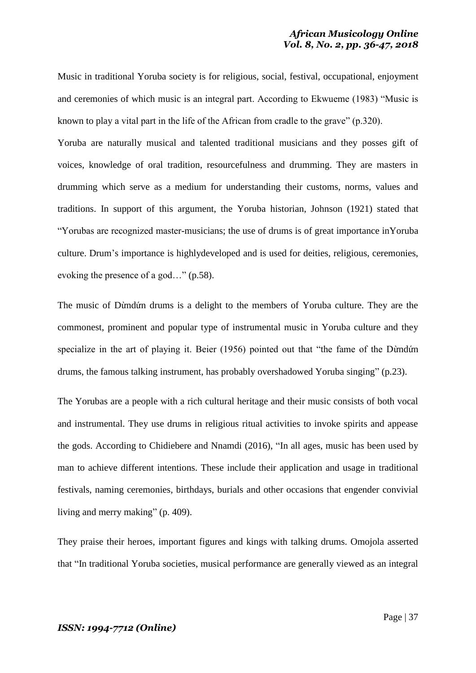Music in traditional Yoruba society is for religious, social, festival, occupational, enjoyment and ceremonies of which music is an integral part. According to Ekwueme (1983) "Music is known to play a vital part in the life of the African from cradle to the grave" (p.320).

Yoruba are naturally musical and talented traditional musicians and they posses gift of voices, knowledge of oral tradition, resourcefulness and drumming. They are masters in drumming which serve as a medium for understanding their customs, norms, values and traditions. In support of this argument, the Yoruba historian, Johnson (1921) stated that "Yorubas are recognized master-musicians; the use of drums is of great importance inYoruba culture. Drum's importance is highlydeveloped and is used for deities, religious, ceremonies, evoking the presence of a god…" (p.58).

The music of Dừndứn drums is a delight to the members of Yoruba culture. They are the commonest, prominent and popular type of instrumental music in Yoruba culture and they specialize in the art of playing it. Beier (1956) pointed out that "the fame of the Dừndứn drums, the famous talking instrument, has probably overshadowed Yoruba singing" (p.23).

The Yorubas are a people with a rich cultural heritage and their music consists of both vocal and instrumental. They use drums in religious ritual activities to invoke spirits and appease the gods. According to Chidiebere and Nnamdi (2016), "In all ages, music has been used by man to achieve different intentions. These include their application and usage in traditional festivals, naming ceremonies, birthdays, burials and other occasions that engender convivial living and merry making" (p. 409).

They praise their heroes, important figures and kings with talking drums. Omojola asserted that "In traditional Yoruba societies, musical performance are generally viewed as an integral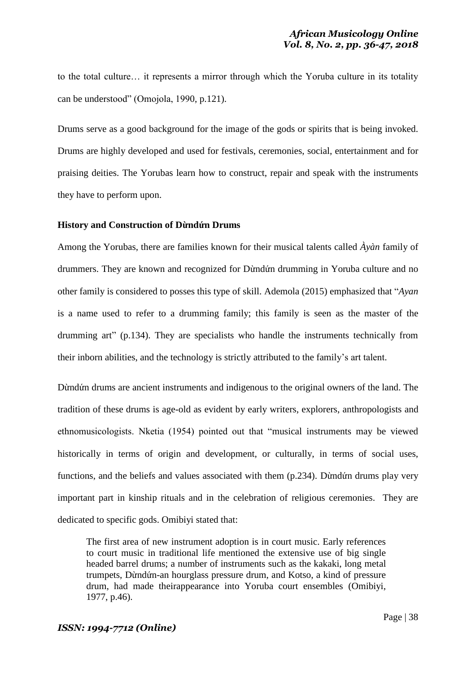to the total culture… it represents a mirror through which the Yoruba culture in its totality can be understood" (Omojola, 1990, p.121).

Drums serve as a good background for the image of the gods or spirits that is being invoked. Drums are highly developed and used for festivals, ceremonies, social, entertainment and for praising deities. The Yorubas learn how to construct, repair and speak with the instruments they have to perform upon.

### **History and Construction of Dừndứn Drums**

Among the Yorubas, there are families known for their musical talents called *Àyàn* family of drummers. They are known and recognized for Dừndứn drumming in Yoruba culture and no other family is considered to posses this type of skill. Ademola (2015) emphasized that "*Ayan* is a name used to refer to a drumming family; this family is seen as the master of the drumming art" (p.134). They are specialists who handle the instruments technically from their inborn abilities, and the technology is strictly attributed to the family's art talent.

Dừndứn drums are ancient instruments and indigenous to the original owners of the land. The tradition of these drums is age-old as evident by early writers, explorers, anthropologists and ethnomusicologists. Nketia (1954) pointed out that "musical instruments may be viewed historically in terms of origin and development, or culturally, in terms of social uses, functions, and the beliefs and values associated with them (p.234). Dừndứn drums play very important part in kinship rituals and in the celebration of religious ceremonies. They are dedicated to specific gods. Omibiyi stated that:

The first area of new instrument adoption is in court music. Early references to court music in traditional life mentioned the extensive use of big single headed barrel drums; a number of instruments such as the kakaki, long metal trumpets, Dừndứn-an hourglass pressure drum, and Kotso, a kind of pressure drum, had made theirappearance into Yoruba court ensembles (Omibiyi, 1977, p.46).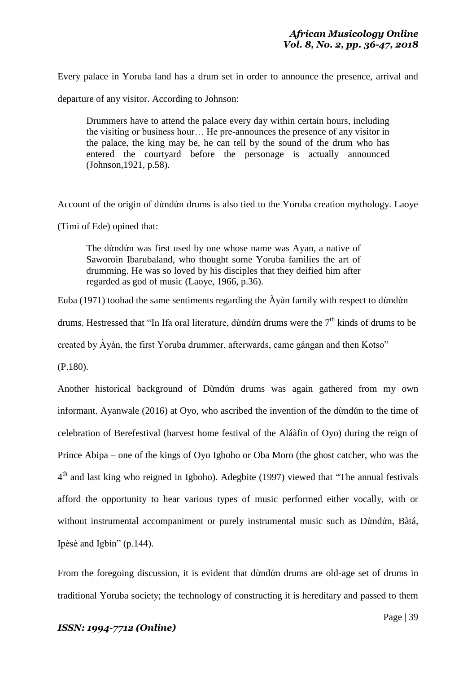Every palace in Yoruba land has a drum set in order to announce the presence, arrival and

departure of any visitor. According to Johnson:

Drummers have to attend the palace every day within certain hours, including the visiting or business hour… He pre-announces the presence of any visitor in the palace, the king may be, he can tell by the sound of the drum who has entered the courtyard before the personage is actually announced (Johnson,1921, p.58).

Account of the origin of dừndứn drums is also tied to the Yoruba creation mythology. Laoye

(Timi of Ede) opined that:

The dừndứn was first used by one whose name was Ayan, a native of Saworoin Ibarubaland, who thought some Yoruba families the art of drumming. He was so loved by his disciples that they deified him after regarded as god of music (Laoye, 1966, p.36).

Euba (1971) toohad the same sentiments regarding the Àyàn family with respect to dừndứn

drums. Hestressed that "In Ifa oral literature, dừndứn drums were the 7<sup>th</sup> kinds of drums to be

created by Àyàn, the first Yoruba drummer, afterwards, came gángan and then Kotso"

(P.180).

Another historical background of Dừndứn drums was again gathered from my own informant. Ayanwale (2016) at Oyo, who ascribed the invention of the dừndứn to the time of celebration of Berefestival (harvest home festival of the Aláàfin of Oyo) during the reign of Prince Abipa – one of the kings of Oyo Igboho or Oba Moro (the ghost catcher, who was the 4<sup>th</sup> and last king who reigned in Igboho). Adegbite (1997) viewed that "The annual festivals afford the opportunity to hear various types of music performed either vocally, with or without instrumental accompaniment or purely instrumental music such as Dừndứn, Bàtá, Ipèsè and Igbìn" (p.144).

From the foregoing discussion, it is evident that dừndứn drums are old-age set of drums in traditional Yoruba society; the technology of constructing it is hereditary and passed to them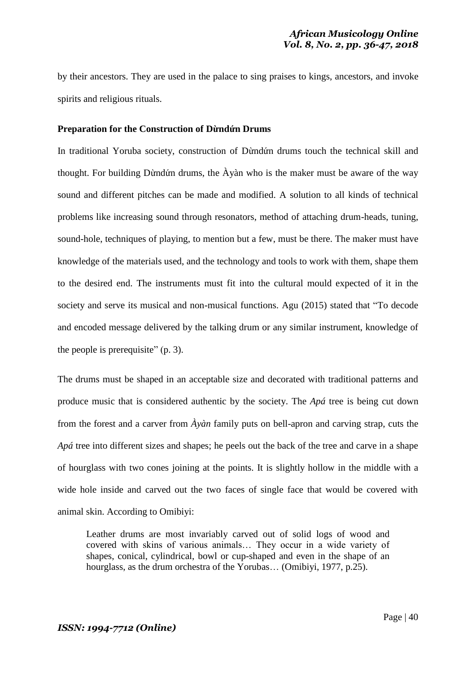by their ancestors. They are used in the palace to sing praises to kings, ancestors, and invoke spirits and religious rituals.

## **Preparation for the Construction of Dừndứn Drums**

In traditional Yoruba society, construction of Dừndứn drums touch the technical skill and thought. For building Dừndứn drums, the Àyàn who is the maker must be aware of the way sound and different pitches can be made and modified. A solution to all kinds of technical problems like increasing sound through resonators, method of attaching drum-heads, tuning, sound-hole, techniques of playing, to mention but a few, must be there. The maker must have knowledge of the materials used, and the technology and tools to work with them, shape them to the desired end. The instruments must fit into the cultural mould expected of it in the society and serve its musical and non-musical functions. Agu (2015) stated that "To decode and encoded message delivered by the talking drum or any similar instrument, knowledge of the people is prerequisite" (p. 3).

The drums must be shaped in an acceptable size and decorated with traditional patterns and produce music that is considered authentic by the society. The *Apá* tree is being cut down from the forest and a carver from *Àyàn* family puts on bell-apron and carving strap, cuts the *Apá* tree into different sizes and shapes; he peels out the back of the tree and carve in a shape of hourglass with two cones joining at the points. It is slightly hollow in the middle with a wide hole inside and carved out the two faces of single face that would be covered with animal skin. According to Omibiyi:

Leather drums are most invariably carved out of solid logs of wood and covered with skins of various animals… They occur in a wide variety of shapes, conical, cylindrical, bowl or cup-shaped and even in the shape of an hourglass, as the drum orchestra of the Yorubas... (Omibiyi, 1977, p.25).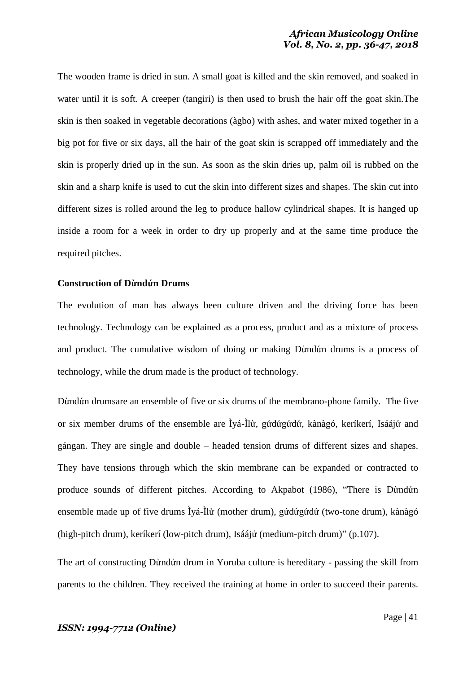The wooden frame is dried in sun. A small goat is killed and the skin removed, and soaked in water until it is soft. A creeper (tangiri) is then used to brush the hair off the goat skin.The skin is then soaked in vegetable decorations (àgbo) with ashes, and water mixed together in a big pot for five or six days, all the hair of the goat skin is scrapped off immediately and the skin is properly dried up in the sun. As soon as the skin dries up, palm oil is rubbed on the skin and a sharp knife is used to cut the skin into different sizes and shapes. The skin cut into different sizes is rolled around the leg to produce hallow cylindrical shapes. It is hanged up inside a room for a week in order to dry up properly and at the same time produce the required pitches.

#### **Construction of Dừndứn Drums**

The evolution of man has always been culture driven and the driving force has been technology. Technology can be explained as a process, product and as a mixture of process and product. The cumulative wisdom of doing or making Dừndứn drums is a process of technology, while the drum made is the product of technology.

Dừndứn drumsare an ensemble of five or six drums of the membrano-phone family. The five or six member drums of the ensemble are Ìyá-Ìlừ, gứdứgứdứ, kànàgó, keríkerí, Isáájứ and gángan. They are single and double – headed tension drums of different sizes and shapes. They have tensions through which the skin membrane can be expanded or contracted to produce sounds of different pitches. According to Akpabot (1986), "There is Dừndứn ensemble made up of five drums Ìyá-Ìlừ (mother drum), gứdứgứdứ (two-tone drum), kànàgó (high-pitch drum), keríkerí (low-pitch drum), Isáájứ (medium-pitch drum)" (p.107).

The art of constructing Dừndứn drum in Yoruba culture is hereditary - passing the skill from parents to the children. They received the training at home in order to succeed their parents.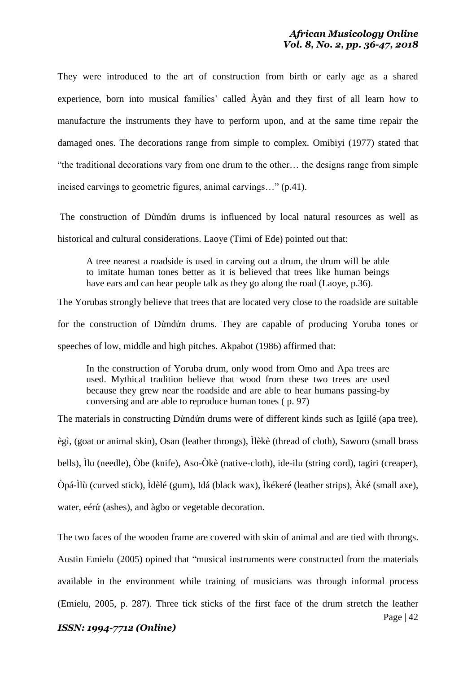They were introduced to the art of construction from birth or early age as a shared experience, born into musical families' called Àyàn and they first of all learn how to manufacture the instruments they have to perform upon, and at the same time repair the damaged ones. The decorations range from simple to complex. Omibiyi (1977) stated that "the traditional decorations vary from one drum to the other… the designs range from simple incised carvings to geometric figures, animal carvings…" (p.41).

The construction of Dừndứn drums is influenced by local natural resources as well as historical and cultural considerations. Laoye (Timi of Ede) pointed out that:

A tree nearest a roadside is used in carving out a drum, the drum will be able to imitate human tones better as it is believed that trees like human beings have ears and can hear people talk as they go along the road (Laoye, p.36).

The Yorubas strongly believe that trees that are located very close to the roadside are suitable for the construction of Dừndứn drums. They are capable of producing Yoruba tones or speeches of low, middle and high pitches. Akpabot (1986) affirmed that:

In the construction of Yoruba drum, only wood from Omo and Apa trees are used. Mythical tradition believe that wood from these two trees are used because they grew near the roadside and are able to hear humans passing-by conversing and are able to reproduce human tones ( p. 97)

The materials in constructing Dừndứn drums were of different kinds such as Igiilé (apa tree), ègì, (goat or animal skin), Osan (leather throngs), Ìlèkè (thread of cloth), Saworo (small brass bells), Ìlu (needle), Òbe (knife), Aso-Òkè (native-cloth), ide-ilu (string cord), tagiri (creaper), Òpá-Ìlù (curved stick), Ìdèlé (gum), Idá (black wax), Ìkékeré (leather strips), Àké (small axe), water, eérứ (ashes), and àgbo or vegetable decoration.

The two faces of the wooden frame are covered with skin of animal and are tied with throngs. Austin Emielu (2005) opined that "musical instruments were constructed from the materials available in the environment while training of musicians was through informal process (Emielu, 2005, p. 287). Three tick sticks of the first face of the drum stretch the leather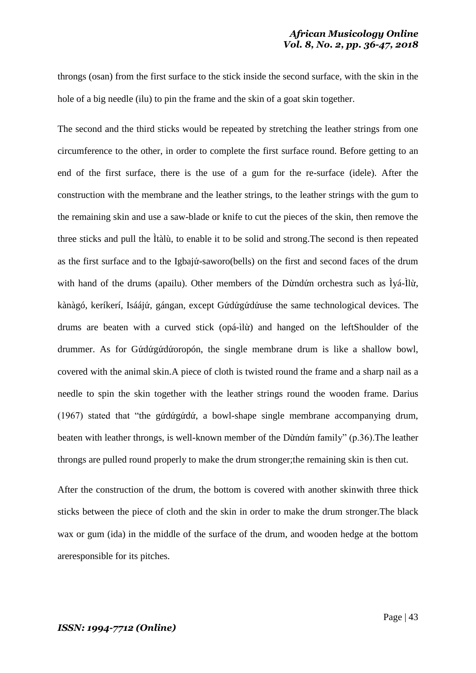throngs (osan) from the first surface to the stick inside the second surface, with the skin in the hole of a big needle (ilu) to pin the frame and the skin of a goat skin together.

The second and the third sticks would be repeated by stretching the leather strings from one circumference to the other, in order to complete the first surface round. Before getting to an end of the first surface, there is the use of a gum for the re-surface (idele). After the construction with the membrane and the leather strings, to the leather strings with the gum to the remaining skin and use a saw-blade or knife to cut the pieces of the skin, then remove the three sticks and pull the Ìtàlù, to enable it to be solid and strong.The second is then repeated as the first surface and to the Igbajứ-saworo(bells) on the first and second faces of the drum with hand of the drums (apailu). Other members of the Dừndứn orchestra such as Ìyá-Ìlừ, kànàgó, keríkerí, Isáájứ, gángan, except Gứdứgứdứuse the same technological devices. The drums are beaten with a curved stick (opá-ìlừ) and hanged on the leftShoulder of the drummer. As for Gứdứgứdứoropón, the single membrane drum is like a shallow bowl, covered with the animal skin.A piece of cloth is twisted round the frame and a sharp nail as a needle to spin the skin together with the leather strings round the wooden frame. Darius (1967) stated that "the gứdứgứdứ, a bowl-shape single membrane accompanying drum, beaten with leather throngs, is well-known member of the Dừndứn family" (p.36).The leather throngs are pulled round properly to make the drum stronger;the remaining skin is then cut.

After the construction of the drum, the bottom is covered with another skinwith three thick sticks between the piece of cloth and the skin in order to make the drum stronger.The black wax or gum (ida) in the middle of the surface of the drum, and wooden hedge at the bottom areresponsible for its pitches.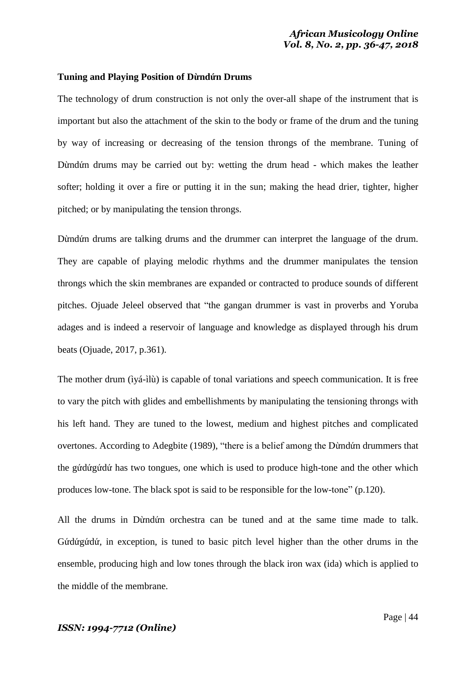## **Tuning and Playing Position of Dừndứn Drums**

The technology of drum construction is not only the over-all shape of the instrument that is important but also the attachment of the skin to the body or frame of the drum and the tuning by way of increasing or decreasing of the tension throngs of the membrane. Tuning of Dừndứn drums may be carried out by: wetting the drum head - which makes the leather softer; holding it over a fire or putting it in the sun; making the head drier, tighter, higher pitched; or by manipulating the tension throngs.

Dừndứn drums are talking drums and the drummer can interpret the language of the drum. They are capable of playing melodic rhythms and the drummer manipulates the tension throngs which the skin membranes are expanded or contracted to produce sounds of different pitches. Ojuade Jeleel observed that "the gangan drummer is vast in proverbs and Yoruba adages and is indeed a reservoir of language and knowledge as displayed through his drum beats (Ojuade, 2017, p.361).

The mother drum (ìyá-ìlù) is capable of tonal variations and speech communication. It is free to vary the pitch with glides and embellishments by manipulating the tensioning throngs with his left hand. They are tuned to the lowest, medium and highest pitches and complicated overtones. According to Adegbite (1989), "there is a belief among the Dừndứn drummers that the gứdứgứdứ has two tongues, one which is used to produce high-tone and the other which produces low-tone. The black spot is said to be responsible for the low-tone" (p.120).

All the drums in Dừndứn orchestra can be tuned and at the same time made to talk. Gứdứgứdứ, in exception, is tuned to basic pitch level higher than the other drums in the ensemble, producing high and low tones through the black iron wax (ida) which is applied to the middle of the membrane.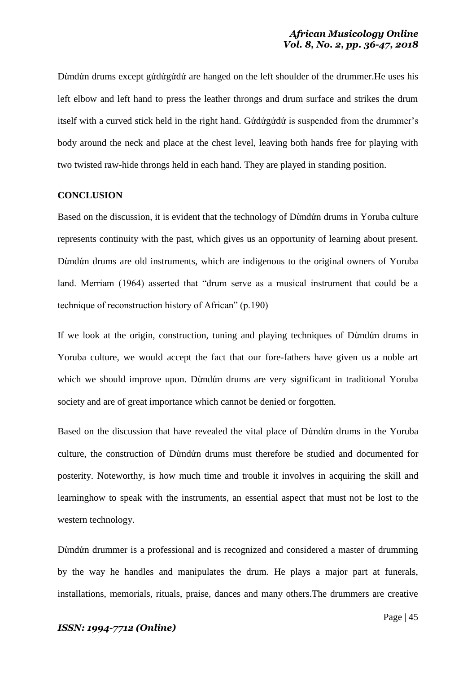Dừndứn drums except gứdứgứdứ are hanged on the left shoulder of the drummer.He uses his left elbow and left hand to press the leather throngs and drum surface and strikes the drum itself with a curved stick held in the right hand. Gứdứgứdứ is suspended from the drummer's body around the neck and place at the chest level, leaving both hands free for playing with two twisted raw-hide throngs held in each hand. They are played in standing position.

#### **CONCLUSION**

Based on the discussion, it is evident that the technology of Dừndứn drums in Yoruba culture represents continuity with the past, which gives us an opportunity of learning about present. Dừndứn drums are old instruments, which are indigenous to the original owners of Yoruba land. Merriam (1964) asserted that "drum serve as a musical instrument that could be a technique of reconstruction history of African" (p.190)

If we look at the origin, construction, tuning and playing techniques of Dừndứn drums in Yoruba culture, we would accept the fact that our fore-fathers have given us a noble art which we should improve upon. Dừndứn drums are very significant in traditional Yoruba society and are of great importance which cannot be denied or forgotten.

Based on the discussion that have revealed the vital place of Dừndứn drums in the Yoruba culture, the construction of Dừndứn drums must therefore be studied and documented for posterity. Noteworthy, is how much time and trouble it involves in acquiring the skill and learninghow to speak with the instruments, an essential aspect that must not be lost to the western technology.

Dừndứn drummer is a professional and is recognized and considered a master of drumming by the way he handles and manipulates the drum. He plays a major part at funerals, installations, memorials, rituals, praise, dances and many others.The drummers are creative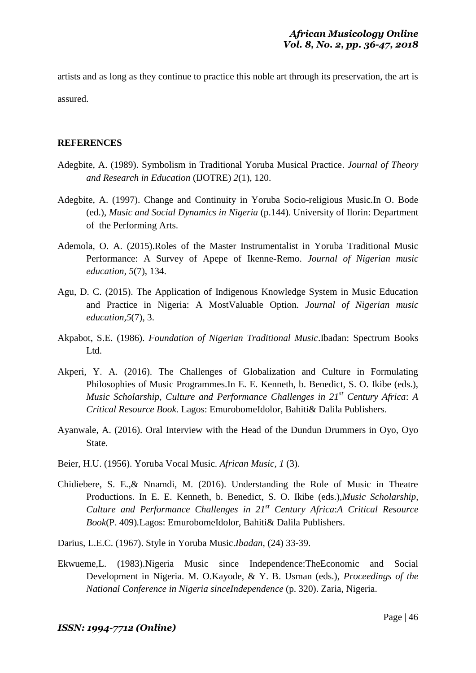artists and as long as they continue to practice this noble art through its preservation, the art is assured.

# **REFERENCES**

- Adegbite, A. (1989). Symbolism in Traditional Yoruba Musical Practice. *Journal of Theory and Research in Education* (IJOTRE) *2*(1), 120.
- Adegbite, A. (1997). Change and Continuity in Yoruba Socio-religious Music.In O. Bode (ed.), *Music and Social Dynamics in Nigeria* (p.144). University of Ilorin: Department of the Performing Arts.
- Ademola, O. A. (2015).Roles of the Master Instrumentalist in Yoruba Traditional Music Performance: A Survey of Apepe of Ikenne-Remo. *Journal of Nigerian music education, 5*(7), 134.
- Agu, D. C. (2015). The Application of Indigenous Knowledge System in Music Education and Practice in Nigeria: A MostValuable Option. *Journal of Nigerian music education,5*(7), 3.
- Akpabot, S.E. (1986). *Foundation of Nigerian Traditional Music*.Ibadan: Spectrum Books Ltd.
- Akperi, Y. A. (2016). The Challenges of Globalization and Culture in Formulating Philosophies of Music Programmes.In E. E. Kenneth, b. Benedict, S. O. Ikibe (eds.), *Music Scholarship, Culture and Performance Challenges in 21st Century Africa*: *A Critical Resource Book.* Lagos: EmurobomeIdolor, Bahiti& Dalila Publishers.
- Ayanwale, A. (2016). Oral Interview with the Head of the Dundun Drummers in Oyo, Oyo State.
- Beier, H.U. (1956). Yoruba Vocal Music. *African Music, 1* (3).
- Chidiebere, S. E.,& Nnamdi, M. (2016). Understanding the Role of Music in Theatre Productions. In E. E. Kenneth, b. Benedict, S. O. Ikibe (eds.),*Music Scholarship, Culture and Performance Challenges in 21st Century Africa*:*A Critical Resource Book*(P. 409)*.*Lagos: EmurobomeIdolor, Bahiti& Dalila Publishers.
- Darius, L.E.C. (1967). Style in Yoruba Music.*Ibadan,* (24) 33-39.
- Ekwueme,L. (1983).Nigeria Music since Independence:TheEconomic and Social Development in Nigeria. M. O.Kayode, & Y. B. Usman (eds.), *Proceedings of the National Conference in Nigeria sinceIndependence* (p. 320). Zaria, Nigeria.